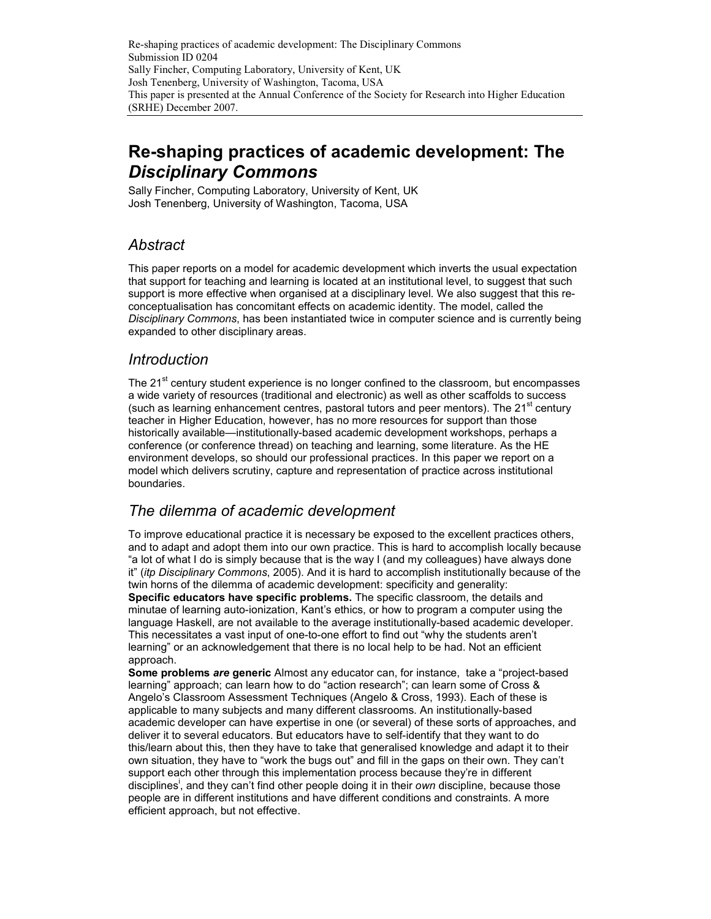# Re-shaping practices of academic development: The Disciplinary Commons

Sally Fincher, Computing Laboratory, University of Kent, UK Josh Tenenberg, University of Washington, Tacoma, USA

### Abstract

This paper reports on a model for academic development which inverts the usual expectation that support for teaching and learning is located at an institutional level, to suggest that such support is more effective when organised at a disciplinary level. We also suggest that this reconceptualisation has concomitant effects on academic identity. The model, called the Disciplinary Commons, has been instantiated twice in computer science and is currently being expanded to other disciplinary areas.

### Introduction

The 21<sup>st</sup> century student experience is no longer confined to the classroom, but encompasses a wide variety of resources (traditional and electronic) as well as other scaffolds to success (such as learning enhancement centres, pastoral tutors and peer mentors). The  $21<sup>st</sup>$  century teacher in Higher Education, however, has no more resources for support than those historically available—institutionally-based academic development workshops, perhaps a conference (or conference thread) on teaching and learning, some literature. As the HE environment develops, so should our professional practices. In this paper we report on a model which delivers scrutiny, capture and representation of practice across institutional boundaries.

### The dilemma of academic development

To improve educational practice it is necessary be exposed to the excellent practices others, and to adapt and adopt them into our own practice. This is hard to accomplish locally because "a lot of what I do is simply because that is the way I (and my colleagues) have always done it" (itp Disciplinary Commons, 2005). And it is hard to accomplish institutionally because of the twin horns of the dilemma of academic development: specificity and generality:

Specific educators have specific problems. The specific classroom, the details and minutae of learning auto-ionization, Kant's ethics, or how to program a computer using the language Haskell, are not available to the average institutionally-based academic developer. This necessitates a vast input of one-to-one effort to find out "why the students aren't learning" or an acknowledgement that there is no local help to be had. Not an efficient approach.

Some problems are generic Almost any educator can, for instance, take a "project-based learning" approach; can learn how to do "action research"; can learn some of Cross & Angelo's Classroom Assessment Techniques (Angelo & Cross, 1993). Each of these is applicable to many subjects and many different classrooms. An institutionally-based academic developer can have expertise in one (or several) of these sorts of approaches, and deliver it to several educators. But educators have to self-identify that they want to do this/learn about this, then they have to take that generalised knowledge and adapt it to their own situation, they have to "work the bugs out" and fill in the gaps on their own. They can't support each other through this implementation process because they're in different disciplines<sup>1</sup>, and they can't find other people doing it in their own discipline, because those people are in different institutions and have different conditions and constraints. A more efficient approach, but not effective.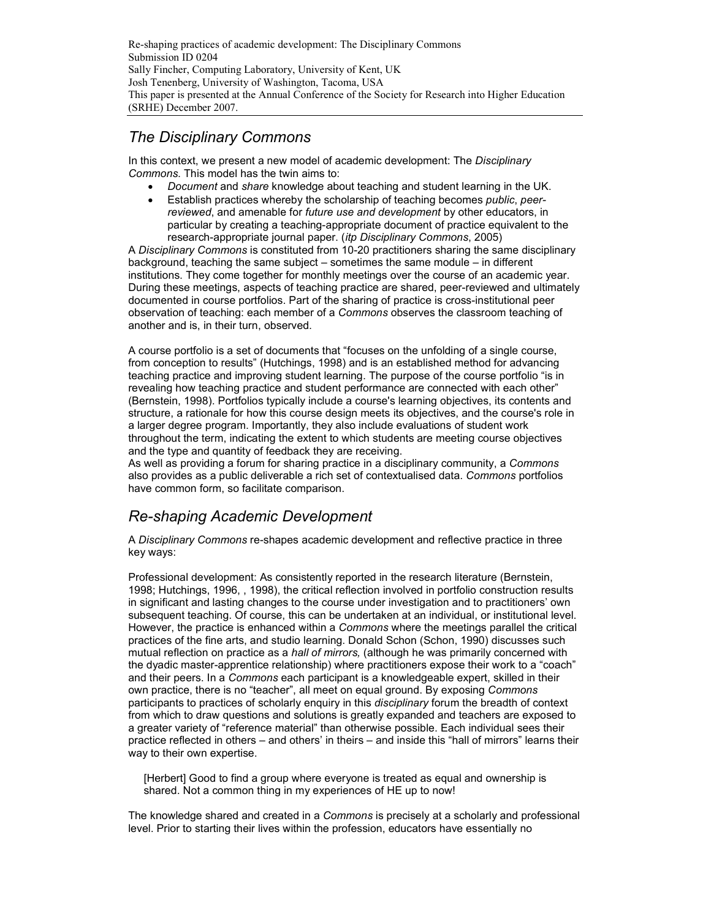### The Disciplinary Commons

In this context, we present a new model of academic development: The Disciplinary Commons. This model has the twin aims to:

- Document and share knowledge about teaching and student learning in the UK.
- Establish practices whereby the scholarship of teaching becomes *public, peer*reviewed, and amenable for future use and development by other educators, in particular by creating a teaching-appropriate document of practice equivalent to the research-appropriate journal paper. (itp Disciplinary Commons, 2005)

A Disciplinary Commons is constituted from 10-20 practitioners sharing the same disciplinary background, teaching the same subject – sometimes the same module – in different institutions. They come together for monthly meetings over the course of an academic year. During these meetings, aspects of teaching practice are shared, peer-reviewed and ultimately documented in course portfolios. Part of the sharing of practice is cross-institutional peer observation of teaching: each member of a Commons observes the classroom teaching of another and is, in their turn, observed.

A course portfolio is a set of documents that "focuses on the unfolding of a single course, from conception to results" (Hutchings, 1998) and is an established method for advancing teaching practice and improving student learning. The purpose of the course portfolio "is in revealing how teaching practice and student performance are connected with each other" (Bernstein, 1998). Portfolios typically include a course's learning objectives, its contents and structure, a rationale for how this course design meets its objectives, and the course's role in a larger degree program. Importantly, they also include evaluations of student work throughout the term, indicating the extent to which students are meeting course objectives and the type and quantity of feedback they are receiving.

As well as providing a forum for sharing practice in a disciplinary community, a Commons also provides as a public deliverable a rich set of contextualised data. Commons portfolios have common form, so facilitate comparison.

## Re-shaping Academic Development

A Disciplinary Commons re-shapes academic development and reflective practice in three key ways:

Professional development: As consistently reported in the research literature (Bernstein, 1998; Hutchings, 1996, , 1998), the critical reflection involved in portfolio construction results in significant and lasting changes to the course under investigation and to practitioners' own subsequent teaching. Of course, this can be undertaken at an individual, or institutional level. However, the practice is enhanced within a Commons where the meetings parallel the critical practices of the fine arts, and studio learning. Donald Schon (Schon, 1990) discusses such mutual reflection on practice as a hall of mirrors, (although he was primarily concerned with the dyadic master-apprentice relationship) where practitioners expose their work to a "coach" and their peers. In a Commons each participant is a knowledgeable expert, skilled in their own practice, there is no "teacher", all meet on equal ground. By exposing Commons participants to practices of scholarly enquiry in this disciplinary forum the breadth of context from which to draw questions and solutions is greatly expanded and teachers are exposed to a greater variety of "reference material" than otherwise possible. Each individual sees their practice reflected in others – and others' in theirs – and inside this "hall of mirrors" learns their way to their own expertise.

[Herbert] Good to find a group where everyone is treated as equal and ownership is shared. Not a common thing in my experiences of HE up to now!

The knowledge shared and created in a Commons is precisely at a scholarly and professional level. Prior to starting their lives within the profession, educators have essentially no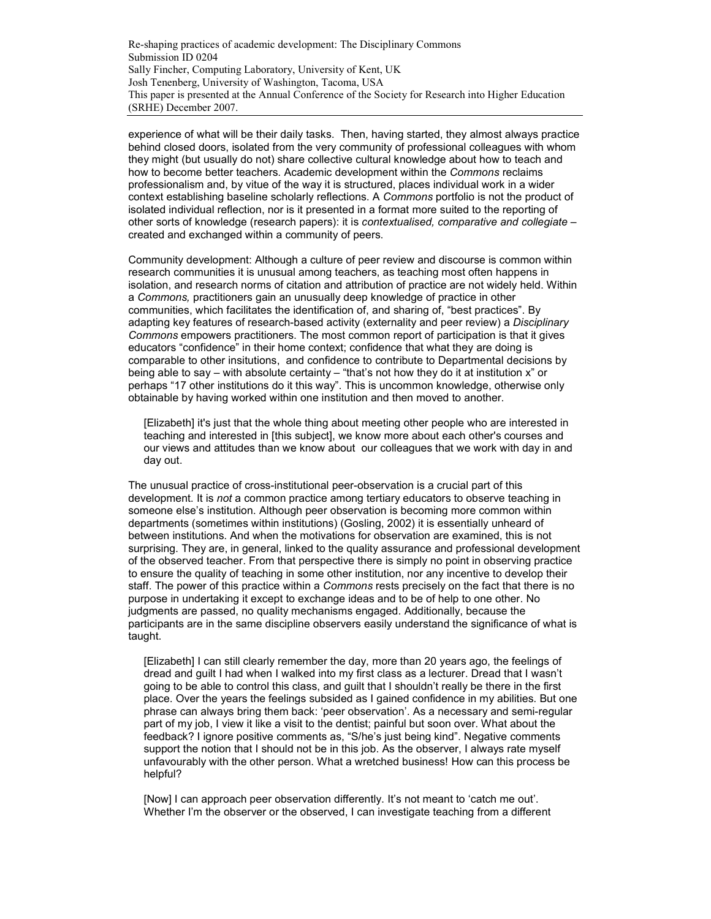experience of what will be their daily tasks. Then, having started, they almost always practice behind closed doors, isolated from the very community of professional colleagues with whom they might (but usually do not) share collective cultural knowledge about how to teach and how to become better teachers. Academic development within the Commons reclaims professionalism and, by vitue of the way it is structured, places individual work in a wider context establishing baseline scholarly reflections. A Commons portfolio is not the product of isolated individual reflection, nor is it presented in a format more suited to the reporting of other sorts of knowledge (research papers): it is contextualised, comparative and collegiate – created and exchanged within a community of peers.

Community development: Although a culture of peer review and discourse is common within research communities it is unusual among teachers, as teaching most often happens in isolation, and research norms of citation and attribution of practice are not widely held. Within a Commons, practitioners gain an unusually deep knowledge of practice in other communities, which facilitates the identification of, and sharing of, "best practices". By adapting key features of research-based activity (externality and peer review) a Disciplinary Commons empowers practitioners. The most common report of participation is that it gives educators "confidence" in their home context; confidence that what they are doing is comparable to other insitutions, and confidence to contribute to Departmental decisions by being able to say – with absolute certainty – "that's not how they do it at institution x" or perhaps "17 other institutions do it this way". This is uncommon knowledge, otherwise only obtainable by having worked within one institution and then moved to another.

[Elizabeth] it's just that the whole thing about meeting other people who are interested in teaching and interested in [this subject], we know more about each other's courses and our views and attitudes than we know about our colleagues that we work with day in and day out.

The unusual practice of cross-institutional peer-observation is a crucial part of this development. It is not a common practice among tertiary educators to observe teaching in someone else's institution. Although peer observation is becoming more common within departments (sometimes within institutions) (Gosling, 2002) it is essentially unheard of between institutions. And when the motivations for observation are examined, this is not surprising. They are, in general, linked to the quality assurance and professional development of the observed teacher. From that perspective there is simply no point in observing practice to ensure the quality of teaching in some other institution, nor any incentive to develop their staff. The power of this practice within a Commons rests precisely on the fact that there is no purpose in undertaking it except to exchange ideas and to be of help to one other. No judgments are passed, no quality mechanisms engaged. Additionally, because the participants are in the same discipline observers easily understand the significance of what is taught.

[Elizabeth] I can still clearly remember the day, more than 20 years ago, the feelings of dread and guilt I had when I walked into my first class as a lecturer. Dread that I wasn't going to be able to control this class, and guilt that I shouldn't really be there in the first place. Over the years the feelings subsided as I gained confidence in my abilities. But one phrase can always bring them back: 'peer observation'. As a necessary and semi-regular part of my job, I view it like a visit to the dentist; painful but soon over. What about the feedback? I ignore positive comments as, "S/he's just being kind". Negative comments support the notion that I should not be in this job. As the observer, I always rate myself unfavourably with the other person. What a wretched business! How can this process be helpful?

[Now] I can approach peer observation differently. It's not meant to 'catch me out'. Whether I'm the observer or the observed, I can investigate teaching from a different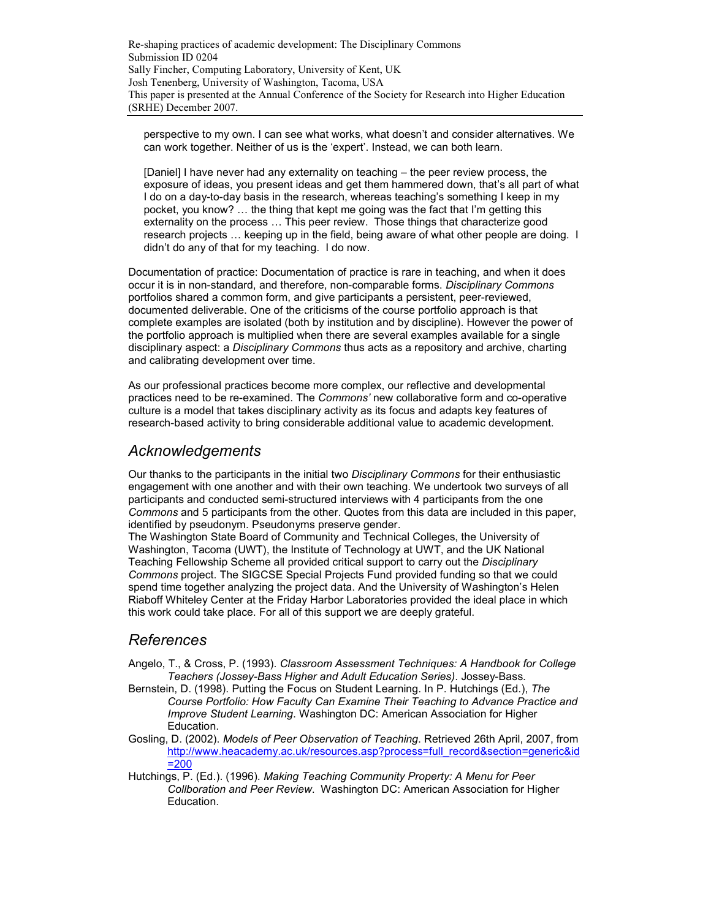perspective to my own. I can see what works, what doesn't and consider alternatives. We can work together. Neither of us is the 'expert'. Instead, we can both learn.

[Daniel] I have never had any externality on teaching – the peer review process, the exposure of ideas, you present ideas and get them hammered down, that's all part of what I do on a day-to-day basis in the research, whereas teaching's something I keep in my pocket, you know? … the thing that kept me going was the fact that I'm getting this externality on the process … This peer review. Those things that characterize good research projects … keeping up in the field, being aware of what other people are doing. I didn't do any of that for my teaching. I do now.

Documentation of practice: Documentation of practice is rare in teaching, and when it does occur it is in non-standard, and therefore, non-comparable forms. Disciplinary Commons portfolios shared a common form, and give participants a persistent, peer-reviewed, documented deliverable. One of the criticisms of the course portfolio approach is that complete examples are isolated (both by institution and by discipline). However the power of the portfolio approach is multiplied when there are several examples available for a single disciplinary aspect: a *Disciplinary Commons* thus acts as a repository and archive, charting and calibrating development over time.

As our professional practices become more complex, our reflective and developmental practices need to be re-examined. The Commons' new collaborative form and co-operative culture is a model that takes disciplinary activity as its focus and adapts key features of research-based activity to bring considerable additional value to academic development.

#### Acknowledgements

Our thanks to the participants in the initial two Disciplinary Commons for their enthusiastic engagement with one another and with their own teaching. We undertook two surveys of all participants and conducted semi-structured interviews with 4 participants from the one Commons and 5 participants from the other. Quotes from this data are included in this paper, identified by pseudonym. Pseudonyms preserve gender.

The Washington State Board of Community and Technical Colleges, the University of Washington, Tacoma (UWT), the Institute of Technology at UWT, and the UK National Teaching Fellowship Scheme all provided critical support to carry out the Disciplinary Commons project. The SIGCSE Special Projects Fund provided funding so that we could spend time together analyzing the project data. And the University of Washington's Helen Riaboff Whiteley Center at the Friday Harbor Laboratories provided the ideal place in which this work could take place. For all of this support we are deeply grateful.

### References

- Angelo, T., & Cross, P. (1993). Classroom Assessment Techniques: A Handbook for College Teachers (Jossey-Bass Higher and Adult Education Series). Jossey-Bass.
- Bernstein, D. (1998). Putting the Focus on Student Learning. In P. Hutchings (Ed.), The Course Portfolio: How Faculty Can Examine Their Teaching to Advance Practice and Improve Student Learning. Washington DC: American Association for Higher Education.
- Gosling, D. (2002). Models of Peer Observation of Teaching. Retrieved 26th April, 2007, from http://www.heacademy.ac.uk/resources.asp?process=full\_record&section=generic&id =200
- Hutchings, P. (Ed.). (1996). Making Teaching Community Property: A Menu for Peer Collboration and Peer Review. Washington DC: American Association for Higher Education.